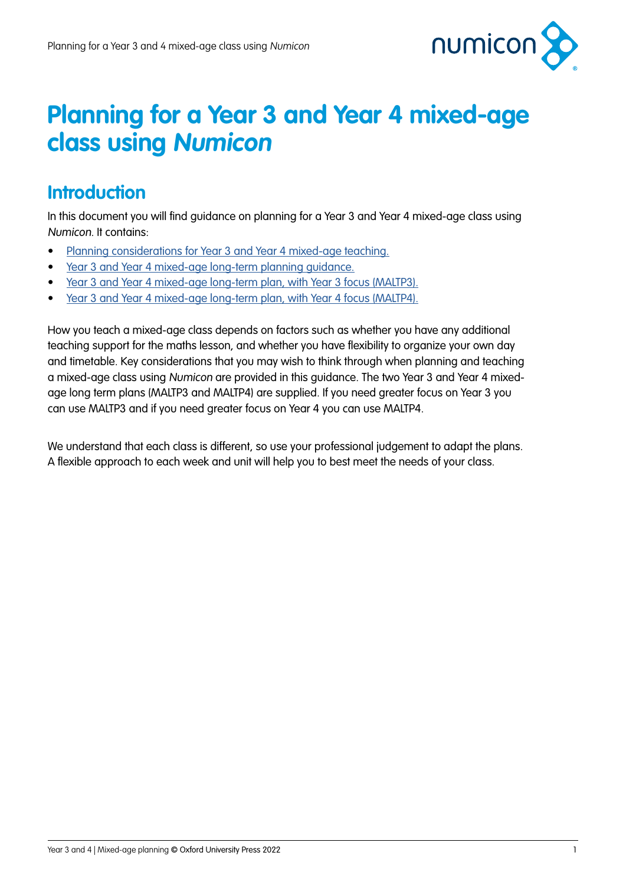

## **Planning for a Year 3 and Year 4 mixed-age class using Numicon**

### **Introduction**

In this document you will find guidance on planning for a Year 3 and Year 4 mixed-age class using Numicon. It contains:

- [Planning considerations for Year 3 and Year 4 mixed-age teaching.](#page-1-0)
- [Year 3 and Year 4 mixed-age long-term planning guidance.](#page-3-0)
- [Year 3 and Year 4 mixed-age long-term plan, with Year 3 focus \(MALTP3\).](#page-5-0)
- [Year 3 and Year 4 mixed-age long-term plan, with Year 4 focus \(MALTP4\).](#page-11-0)

How you teach a mixed-age class depends on factors such as whether you have any additional teaching support for the maths lesson, and whether you have flexibility to organize your own day and timetable. Key considerations that you may wish to think through when planning and teaching a mixed-age class using Numicon are provided in this guidance. The two Year 3 and Year 4 mixedage long term plans (MALTP3 and MALTP4) are supplied. If you need greater focus on Year 3 you can use MALTP3 and if you need greater focus on Year 4 you can use MALTP4.

We understand that each class is different, so use your professional judgement to adapt the plans. A flexible approach to each week and unit will help you to best meet the needs of your class.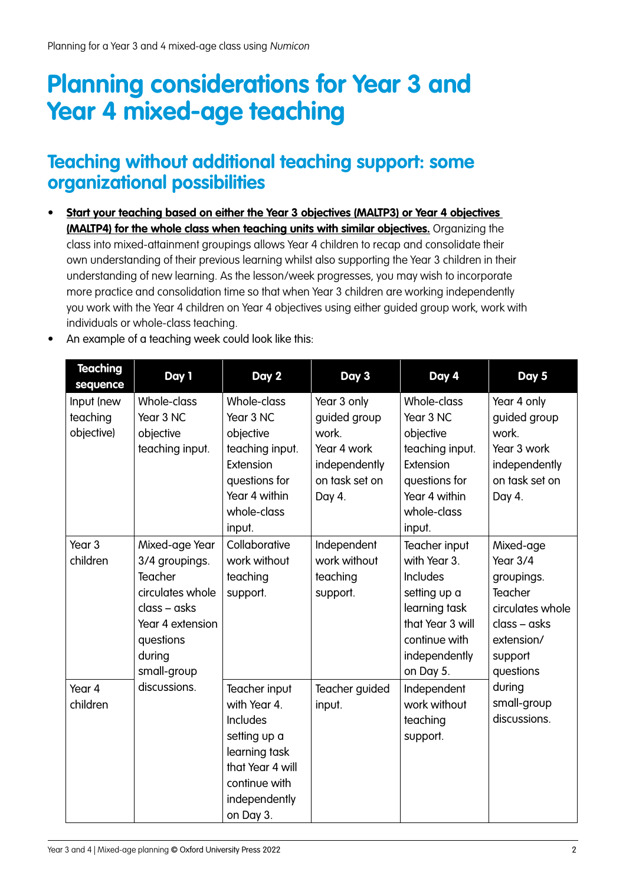# <span id="page-1-0"></span>**Planning considerations for Year 3 and Year 4 mixed-age teaching**

### **Teaching without additional teaching support: some organizational possibilities**

**• Start your teaching based on either the Year 3 objectives (MALTP3) or Year 4 objectives (MALTP4) for the whole class when teaching units with similar objectives.** Organizing the class into mixed-attainment groupings allows Year 4 children to recap and consolidate their own understanding of their previous learning whilst also supporting the Year 3 children in their understanding of new learning. As the lesson/week progresses, you may wish to incorporate more practice and consolidation time so that when Year 3 children are working independently you work with the Year 4 children on Year 4 objectives using either guided group work, work with individuals or whole-class teaching.

| <b>Teaching</b><br>sequence          | Day 1                                                                                                                                     | Day 2                                                                                                                                         | Day 3                                                                                            | Day 4                                                                                                                                         | Day 5                                                                                                                      |
|--------------------------------------|-------------------------------------------------------------------------------------------------------------------------------------------|-----------------------------------------------------------------------------------------------------------------------------------------------|--------------------------------------------------------------------------------------------------|-----------------------------------------------------------------------------------------------------------------------------------------------|----------------------------------------------------------------------------------------------------------------------------|
| Input (new<br>teaching<br>objective) | Whole-class<br>Year 3 NC<br>objective<br>teaching input.                                                                                  | Whole-class<br>Year 3 NC<br>objective<br>teaching input.<br>Extension<br>questions for<br>Year 4 within<br>whole-class<br>input.              | Year 3 only<br>guided group<br>work.<br>Year 4 work<br>independently<br>on task set on<br>Day 4. | Whole-class<br>Year 3 NC<br>objective<br>teaching input.<br>Extension<br>questions for<br>Year 4 within<br>whole-class<br>input.              | Year 4 only<br>guided group<br>work.<br>Year 3 work<br>independently<br>on task set on<br>Day 4.                           |
| Year <sub>3</sub><br>children        | Mixed-age Year<br>3/4 groupings.<br>Teacher<br>circulates whole<br>class - asks<br>Year 4 extension<br>questions<br>during<br>small-group | Collaborative<br>work without<br>teaching<br>support.                                                                                         | Independent<br>work without<br>teaching<br>support.                                              | Teacher input<br>with Year 3.<br>Includes<br>setting up a<br>learning task<br>that Year 3 will<br>continue with<br>independently<br>on Day 5. | Mixed-age<br>Year 3/4<br>groupings.<br>Teacher<br>circulates whole<br>$class - asks$<br>extension/<br>support<br>questions |
| Year 4<br>children                   | discussions.                                                                                                                              | Teacher input<br>with Year 4.<br>Includes<br>setting up a<br>learning task<br>that Year 4 will<br>continue with<br>independently<br>on Day 3. | Teacher guided<br>input.                                                                         | Independent<br>work without<br>teaching<br>support.                                                                                           | during<br>small-group<br>discussions.                                                                                      |

• An example of a teaching week could look like this: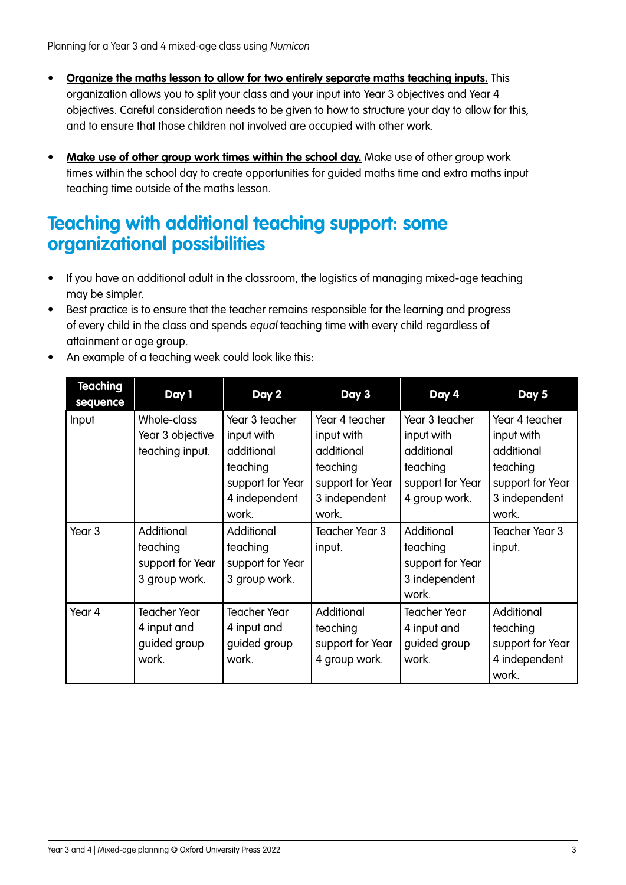- **• Organize the maths lesson to allow for two entirely separate maths teaching inputs.** This organization allows you to split your class and your input into Year 3 objectives and Year 4 objectives. Careful consideration needs to be given to how to structure your day to allow for this, and to ensure that those children not involved are occupied with other work.
- **• Make use of other group work times within the school day.** Make use of other group work times within the school day to create opportunities for guided maths time and extra maths input teaching time outside of the maths lesson.

### **Teaching with additional teaching support: some organizational possibilities**

- If you have an additional adult in the classroom, the logistics of managing mixed-age teaching may be simpler.
- Best practice is to ensure that the teacher remains responsible for the learning and progress of every child in the class and spends equal teaching time with every child regardless of attainment or age group.
- An example of a teaching week could look like this:

| <b>Teaching</b><br>sequence | Day 1                                                       | Day 2                                                                                                | Day 3                                                                                                | Day 4                                                                                       | Day 5                                                                                                |
|-----------------------------|-------------------------------------------------------------|------------------------------------------------------------------------------------------------------|------------------------------------------------------------------------------------------------------|---------------------------------------------------------------------------------------------|------------------------------------------------------------------------------------------------------|
| Input                       | Whole-class<br>Year 3 objective<br>teaching input.          | Year 3 teacher<br>input with<br>additional<br>teaching<br>support for Year<br>4 independent<br>work. | Year 4 teacher<br>input with<br>additional<br>teaching<br>support for Year<br>3 independent<br>work. | Year 3 teacher<br>input with<br>additional<br>teaching<br>support for Year<br>4 group work. | Year 4 teacher<br>input with<br>additional<br>teaching<br>support for Year<br>3 independent<br>work. |
| Year <sub>3</sub>           | Additional<br>teaching<br>support for Year<br>3 group work. | Additional<br>teaching<br>support for Year<br>3 group work.                                          | Teacher Year 3<br>input.                                                                             | Additional<br>teaching<br>support for Year<br>3 independent<br>work.                        | Teacher Year 3<br>input.                                                                             |
| Year 4                      | <b>Teacher Year</b><br>4 input and<br>guided group<br>work. | <b>Teacher Year</b><br>4 input and<br>guided group<br>work.                                          | Additional<br>teaching<br>support for Year<br>4 group work.                                          | <b>Teacher Year</b><br>4 input and<br>guided group<br>work.                                 | Additional<br>teaching<br>support for Year<br>4 independent<br>work.                                 |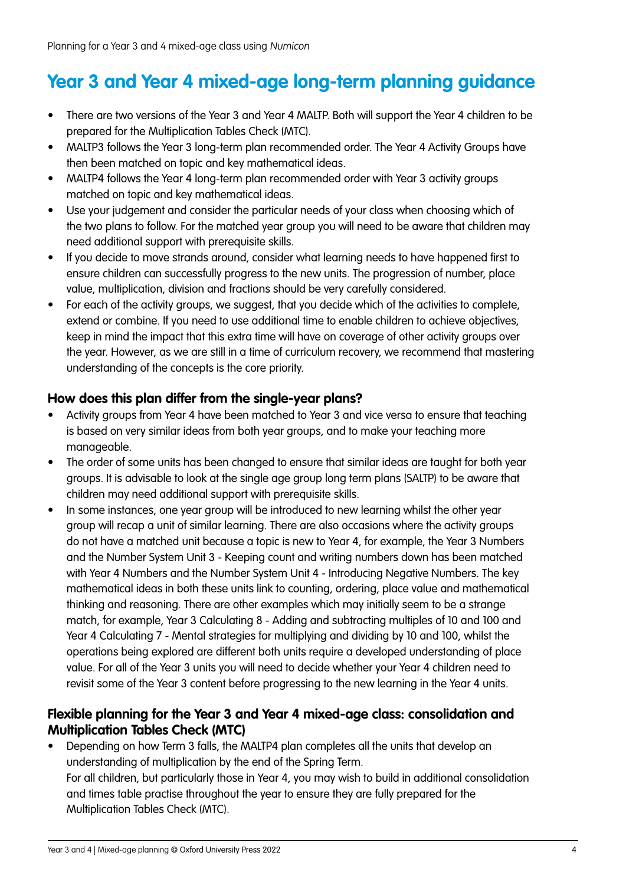### <span id="page-3-0"></span>**Year 3 and Year 4 mixed-age long-term planning guidance**

- There are two versions of the Year 3 and Year 4 MALTP. Both will support the Year 4 children to be prepared for the Multiplication Tables Check (MTC).
- MALTP3 follows the Year 3 long-term plan recommended order. The Year 4 Activity Groups have then been matched on topic and key mathematical ideas.
- MALTP4 follows the Year 4 long-term plan recommended order with Year 3 activity groups matched on topic and key mathematical ideas.
- Use your judgement and consider the particular needs of your class when choosing which of the two plans to follow. For the matched year group you will need to be aware that children may need additional support with prerequisite skills.
- If you decide to move strands around, consider what learning needs to have happened first to ensure children can successfully progress to the new units. The progression of number, place value, multiplication, division and fractions should be very carefully considered.
- For each of the activity groups, we suggest, that you decide which of the activities to complete, extend or combine. If you need to use additional time to enable children to achieve objectives, keep in mind the impact that this extra time will have on coverage of other activity groups over the year. However, as we are still in a time of curriculum recovery, we recommend that mastering understanding of the concepts is the core priority.

#### **How does this plan differ from the single-year plans?**

- Activity groups from Year 4 have been matched to Year 3 and vice versa to ensure that teaching is based on very similar ideas from both year groups, and to make your teaching more manageable.
- The order of some units has been changed to ensure that similar ideas are taught for both year groups. It is advisable to look at the single age group long term plans (SALTP) to be aware that children may need additional support with prerequisite skills.
- In some instances, one year group will be introduced to new learning whilst the other year group will recap a unit of similar learning. There are also occasions where the activity groups do not have a matched unit because a topic is new to Year 4, for example, the Year 3 Numbers and the Number System Unit 3 - Keeping count and writing numbers down has been matched with Year 4 Numbers and the Number System Unit 4 - Introducing Negative Numbers. The key mathematical ideas in both these units link to counting, ordering, place value and mathematical thinking and reasoning. There are other examples which may initially seem to be a strange match, for example, Year 3 Calculating 8 - Adding and subtracting multiples of 10 and 100 and Year 4 Calculating 7 - Mental strategies for multiplying and dividing by 10 and 100, whilst the operations being explored are different both units require a developed understanding of place value. For all of the Year 3 units you will need to decide whether your Year 4 children need to revisit some of the Year 3 content before progressing to the new learning in the Year 4 units.

#### **Flexible planning for the Year 3 and Year 4 mixed-age class: consolidation and Multiplication Tables Check (MTC)**

• Depending on how Term 3 falls, the MALTP4 plan completes all the units that develop an understanding of multiplication by the end of the Spring Term. For all children, but particularly those in Year 4, you may wish to build in additional consolidation and times table practise throughout the year to ensure they are fully prepared for the Multiplication Tables Check (MTC).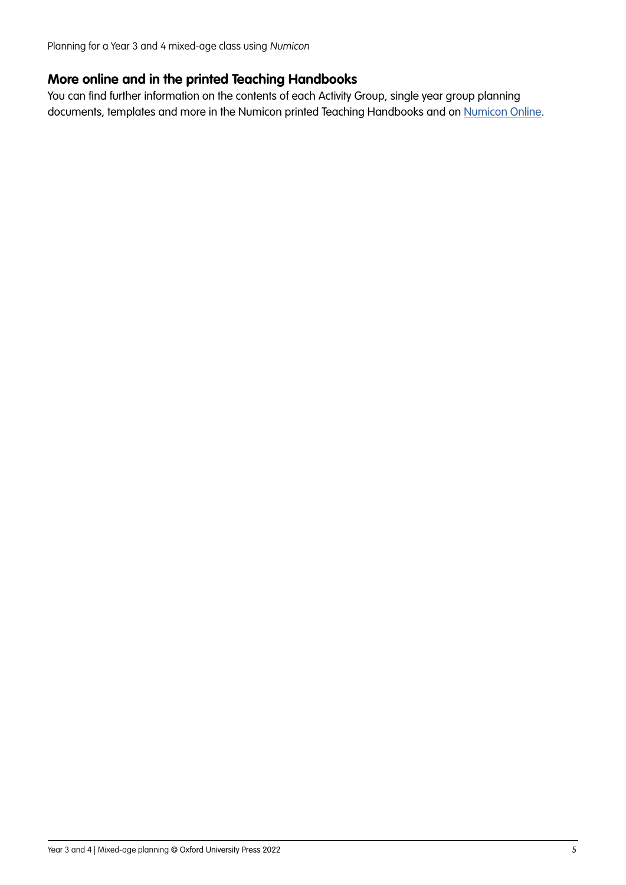Planning for a Year 3 and 4 mixed-age class using Numicon

#### **More online and in the printed Teaching Handbooks**

You can find further information on the contents of each Activity Group, single year group planning documents, templates and more in the Numicon printed Teaching Handbooks and on [Numicon Online](https://www.oxfordowl.co.uk/login?active-tab=teachers).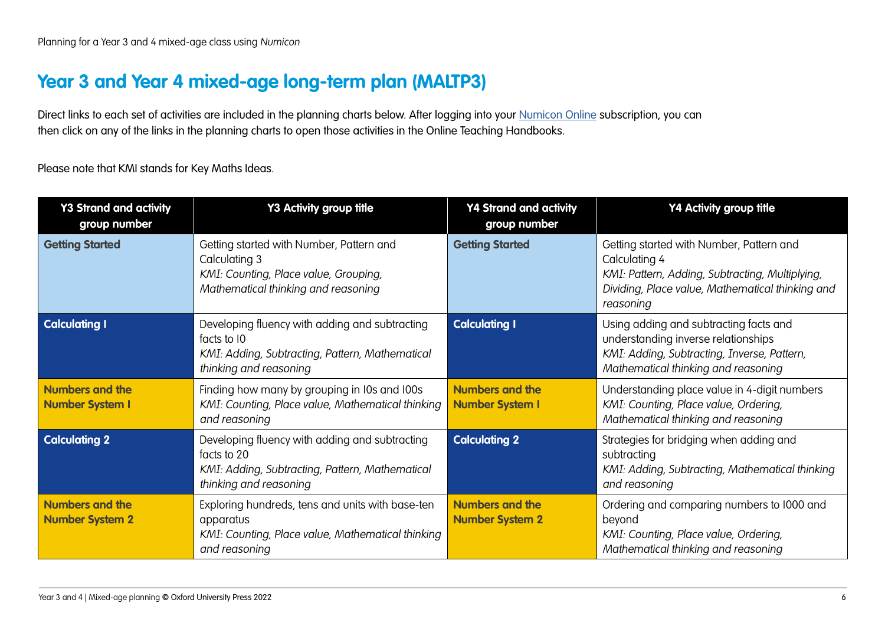### <span id="page-5-0"></span>**Year 3 and Year 4 mixed-age long-term plan (MALTP3)**

Direct links to each set of activities are included in the planning charts below. After logging into your [Numicon Online](https://www.oxfordowl.co.uk/login?active-tab=teachers) subscription, you can then click on any of the links in the planning charts to open those activities in the Online Teaching Handbooks.

Please note that KMI stands for Key Maths Ideas.

| <b>Y3 Strand and activity</b><br>group number    | Y3 Activity group title                                                                                                                    | <b>Y4 Strand and activity</b><br>group number    | Y4 Activity group title                                                                                                                                                       |
|--------------------------------------------------|--------------------------------------------------------------------------------------------------------------------------------------------|--------------------------------------------------|-------------------------------------------------------------------------------------------------------------------------------------------------------------------------------|
| <b>Getting Started</b>                           | Getting started with Number, Pattern and<br>Calculating 3<br>KMI: Counting, Place value, Grouping,<br>Mathematical thinking and reasoning  | <b>Getting Started</b>                           | Getting started with Number, Pattern and<br>Calculating 4<br>KMI: Pattern, Adding, Subtracting, Multiplying,<br>Dividing, Place value, Mathematical thinking and<br>reasoning |
| <b>Calculating I</b>                             | Developing fluency with adding and subtracting<br>facts to 10<br>KMI: Adding, Subtracting, Pattern, Mathematical<br>thinking and reasoning | <b>Calculating I</b>                             | Using adding and subtracting facts and<br>understanding inverse relationships<br>KMI: Adding, Subtracting, Inverse, Pattern,<br>Mathematical thinking and reasoning           |
| <b>Numbers and the</b><br><b>Number System I</b> | Finding how many by grouping in I0s and I00s<br>KMI: Counting, Place value, Mathematical thinking<br>and reasoning                         | <b>Numbers and the</b><br><b>Number System I</b> | Understanding place value in 4-digit numbers<br>KMI: Counting, Place value, Ordering,<br>Mathematical thinking and reasoning                                                  |
| <b>Calculating 2</b>                             | Developing fluency with adding and subtracting<br>facts to 20<br>KMI: Adding, Subtracting, Pattern, Mathematical<br>thinking and reasoning | <b>Calculating 2</b>                             | Strategies for bridging when adding and<br>subtracting<br>KMI: Adding, Subtracting, Mathematical thinking<br>and reasoning                                                    |
| <b>Numbers and the</b><br><b>Number System 2</b> | Exploring hundreds, tens and units with base-ten<br>apparatus<br>KMI: Counting, Place value, Mathematical thinking<br>and reasoning        | <b>Numbers and the</b><br><b>Number System 2</b> | Ordering and comparing numbers to 1000 and<br>beyond<br>KMI: Counting, Place value, Ordering,<br>Mathematical thinking and reasoning                                          |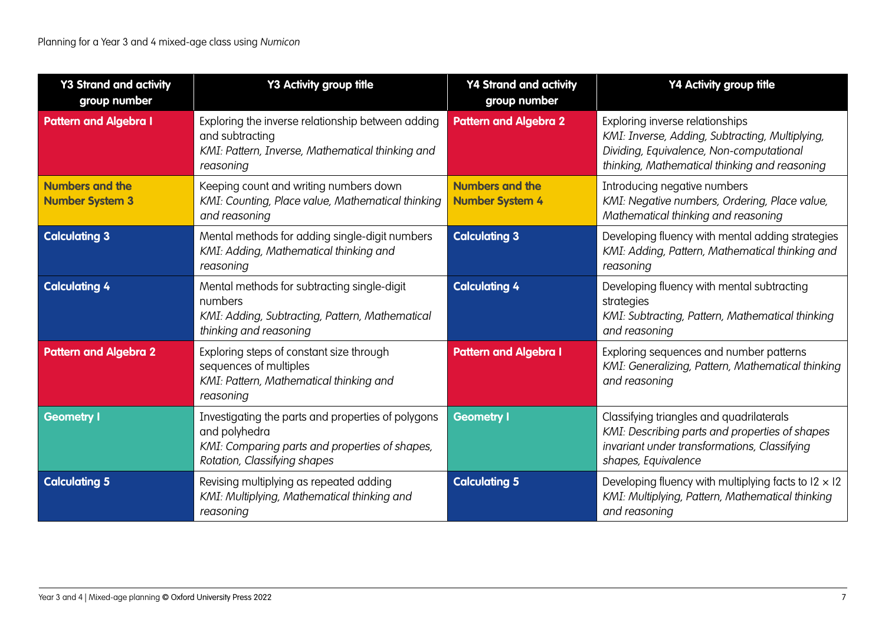| <b>Y3 Strand and activity</b><br>group number    | Y3 Activity group title                                                                                                                               | <b>Y4 Strand and activity</b><br>group number    | Y4 Activity group title                                                                                                                                                         |
|--------------------------------------------------|-------------------------------------------------------------------------------------------------------------------------------------------------------|--------------------------------------------------|---------------------------------------------------------------------------------------------------------------------------------------------------------------------------------|
| <b>Pattern and Algebra I</b>                     | Exploring the inverse relationship between adding<br>and subtracting<br>KMI: Pattern, Inverse, Mathematical thinking and<br>reasoning                 | <b>Pattern and Algebra 2</b>                     | Exploring inverse relationships<br>KMI: Inverse, Adding, Subtracting, Multiplying,<br>Dividing, Equivalence, Non-computational<br>thinking, Mathematical thinking and reasoning |
| <b>Numbers and the</b><br><b>Number System 3</b> | Keeping count and writing numbers down<br>KMI: Counting, Place value, Mathematical thinking<br>and reasoning                                          | <b>Numbers and the</b><br><b>Number System 4</b> | Introducing negative numbers<br>KMI: Negative numbers, Ordering, Place value,<br>Mathematical thinking and reasoning                                                            |
| <b>Calculating 3</b>                             | Mental methods for adding single-digit numbers<br>KMI: Adding, Mathematical thinking and<br>reasoning                                                 | <b>Calculating 3</b>                             | Developing fluency with mental adding strategies<br>KMI: Adding, Pattern, Mathematical thinking and<br>reasoning                                                                |
| <b>Calculating 4</b>                             | Mental methods for subtracting single-digit<br>numbers<br>KMI: Adding, Subtracting, Pattern, Mathematical<br>thinking and reasoning                   | <b>Calculating 4</b>                             | Developing fluency with mental subtracting<br>strategies<br>KMI: Subtracting, Pattern, Mathematical thinking<br>and reasoning                                                   |
| <b>Pattern and Algebra 2</b>                     | Exploring steps of constant size through<br>sequences of multiples<br>KMI: Pattern, Mathematical thinking and<br>reasoning                            | <b>Pattern and Algebra I</b>                     | Exploring sequences and number patterns<br>KMI: Generalizing, Pattern, Mathematical thinking<br>and reasoning                                                                   |
| <b>Geometry I</b>                                | Investigating the parts and properties of polygons<br>and polyhedra<br>KMI: Comparing parts and properties of shapes,<br>Rotation, Classifying shapes | <b>Geometry I</b>                                | Classifying triangles and quadrilaterals<br>KMI: Describing parts and properties of shapes<br>invariant under transformations, Classifying<br>shapes, Equivalence               |
| <b>Calculating 5</b>                             | Revising multiplying as repeated adding<br>KMI: Multiplying, Mathematical thinking and<br>reasoning                                                   | <b>Calculating 5</b>                             | Developing fluency with multiplying facts to $12 \times 12$<br>KMI: Multiplying, Pattern, Mathematical thinking<br>and reasoning                                                |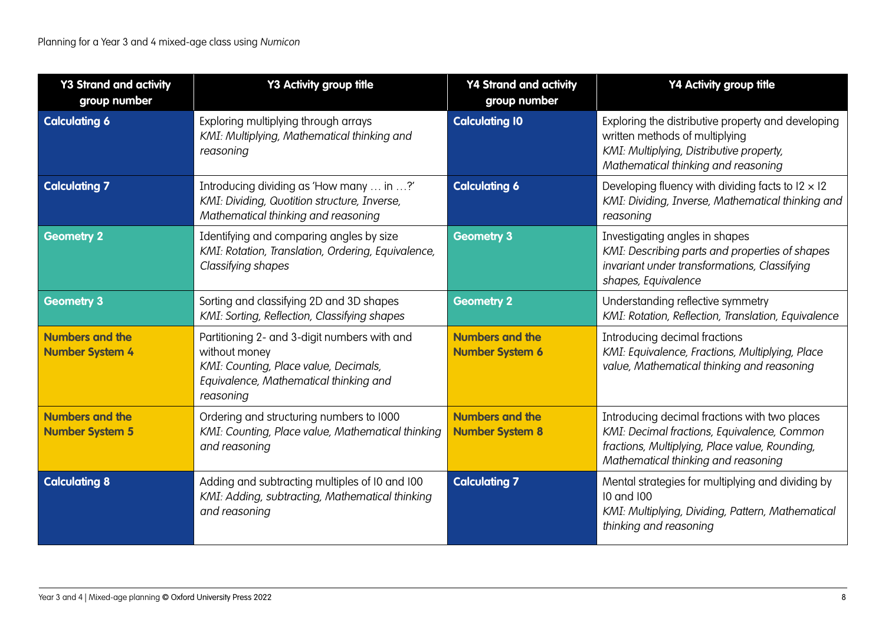| <b>Y3 Strand and activity</b><br>group number    | Y3 Activity group title                                                                                                                                       | <b>Y4 Strand and activity</b><br>group number    | Y4 Activity group title                                                                                                                                                               |
|--------------------------------------------------|---------------------------------------------------------------------------------------------------------------------------------------------------------------|--------------------------------------------------|---------------------------------------------------------------------------------------------------------------------------------------------------------------------------------------|
| <b>Calculating 6</b>                             | Exploring multiplying through arrays<br>KMI: Multiplying, Mathematical thinking and<br>reasoning                                                              | <b>Calculating 10</b>                            | Exploring the distributive property and developing<br>written methods of multiplying<br>KMI: Multiplying, Distributive property,<br>Mathematical thinking and reasoning               |
| <b>Calculating 7</b>                             | Introducing dividing as 'How many  in ?'<br>KMI: Dividing, Quotition structure, Inverse,<br>Mathematical thinking and reasoning                               | <b>Calculating 6</b>                             | Developing fluency with dividing facts to $12 \times 12$<br>KMI: Dividing, Inverse, Mathematical thinking and<br>reasoning                                                            |
| <b>Geometry 2</b>                                | Identifying and comparing angles by size<br>KMI: Rotation, Translation, Ordering, Equivalence,<br>Classifying shapes                                          | <b>Geometry 3</b>                                | Investigating angles in shapes<br>KMI: Describing parts and properties of shapes<br>invariant under transformations, Classifying<br>shapes, Equivalence                               |
| <b>Geometry 3</b>                                | Sorting and classifying 2D and 3D shapes<br>KMI: Sorting, Reflection, Classifying shapes                                                                      | <b>Geometry 2</b>                                | Understanding reflective symmetry<br>KMI: Rotation, Reflection, Translation, Equivalence                                                                                              |
| <b>Numbers and the</b><br><b>Number System 4</b> | Partitioning 2- and 3-digit numbers with and<br>without money<br>KMI: Counting, Place value, Decimals,<br>Equivalence, Mathematical thinking and<br>reasoning | <b>Numbers and the</b><br><b>Number System 6</b> | Introducing decimal fractions<br>KMI: Equivalence, Fractions, Multiplying, Place<br>value, Mathematical thinking and reasoning                                                        |
| <b>Numbers and the</b><br><b>Number System 5</b> | Ordering and structuring numbers to 1000<br>KMI: Counting, Place value, Mathematical thinking<br>and reasoning                                                | <b>Numbers and the</b><br><b>Number System 8</b> | Introducing decimal fractions with two places<br>KMI: Decimal fractions, Equivalence, Common<br>fractions, Multiplying, Place value, Rounding,<br>Mathematical thinking and reasoning |
| <b>Calculating 8</b>                             | Adding and subtracting multiples of I0 and I00<br>KMI: Adding, subtracting, Mathematical thinking<br>and reasoning                                            | <b>Calculating 7</b>                             | Mental strategies for multiplying and dividing by<br>10 and 100<br>KMI: Multiplying, Dividing, Pattern, Mathematical<br>thinking and reasoning                                        |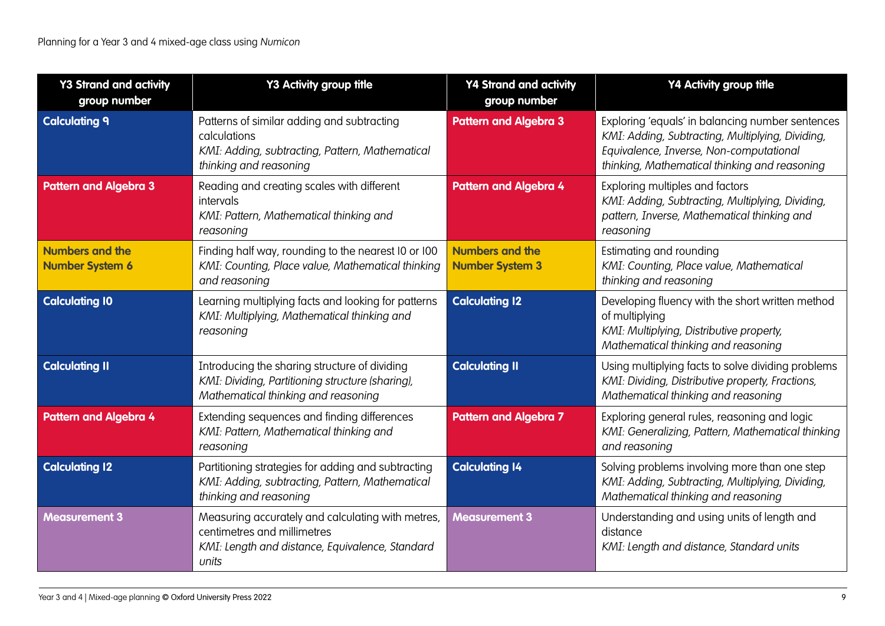| <b>Y3 Strand and activity</b><br>group number    | <b>Y3 Activity group title</b>                                                                                                               | <b>Y4 Strand and activity</b><br>group number    | Y4 Activity group title                                                                                                                                                                          |
|--------------------------------------------------|----------------------------------------------------------------------------------------------------------------------------------------------|--------------------------------------------------|--------------------------------------------------------------------------------------------------------------------------------------------------------------------------------------------------|
| <b>Calculating 9</b>                             | Patterns of similar adding and subtracting<br>calculations<br>KMI: Adding, subtracting, Pattern, Mathematical<br>thinking and reasoning      | <b>Pattern and Algebra 3</b>                     | Exploring 'equals' in balancing number sentences<br>KMI: Adding, Subtracting, Multiplying, Dividing,<br>Equivalence, Inverse, Non-computational<br>thinking, Mathematical thinking and reasoning |
| <b>Pattern and Algebra 3</b>                     | Reading and creating scales with different<br>intervals<br>KMI: Pattern, Mathematical thinking and<br>reasoning                              | <b>Pattern and Algebra 4</b>                     | Exploring multiples and factors<br>KMI: Adding, Subtracting, Multiplying, Dividing,<br>pattern, Inverse, Mathematical thinking and<br>reasoning                                                  |
| <b>Numbers and the</b><br><b>Number System 6</b> | Finding half way, rounding to the nearest I0 or I00<br>KMI: Counting, Place value, Mathematical thinking<br>and reasoning                    | <b>Numbers and the</b><br><b>Number System 3</b> | Estimating and rounding<br>KMI: Counting, Place value, Mathematical<br>thinking and reasoning                                                                                                    |
| <b>Calculating 10</b>                            | Learning multiplying facts and looking for patterns<br>KMI: Multiplying, Mathematical thinking and<br>reasoning                              | <b>Calculating 12</b>                            | Developing fluency with the short written method<br>of multiplying<br>KMI: Multiplying, Distributive property,<br>Mathematical thinking and reasoning                                            |
| <b>Calculating II</b>                            | Introducing the sharing structure of dividing<br>KMI: Dividing, Partitioning structure (sharing),<br>Mathematical thinking and reasoning     | <b>Calculating II</b>                            | Using multiplying facts to solve dividing problems<br>KMI: Dividing, Distributive property, Fractions,<br>Mathematical thinking and reasoning                                                    |
| <b>Pattern and Algebra 4</b>                     | Extending sequences and finding differences<br>KMI: Pattern, Mathematical thinking and<br>reasoning                                          | <b>Pattern and Algebra 7</b>                     | Exploring general rules, reasoning and logic<br>KMI: Generalizing, Pattern, Mathematical thinking<br>and reasoning                                                                               |
| <b>Calculating 12</b>                            | Partitioning strategies for adding and subtracting<br>KMI: Adding, subtracting, Pattern, Mathematical<br>thinking and reasoning              | <b>Calculating 14</b>                            | Solving problems involving more than one step<br>KMI: Adding, Subtracting, Multiplying, Dividing,<br>Mathematical thinking and reasoning                                                         |
| <b>Measurement 3</b>                             | Measuring accurately and calculating with metres,<br>centimetres and millimetres<br>KMI: Length and distance, Equivalence, Standard<br>units | <b>Measurement 3</b>                             | Understanding and using units of length and<br>distance<br>KMI: Length and distance, Standard units                                                                                              |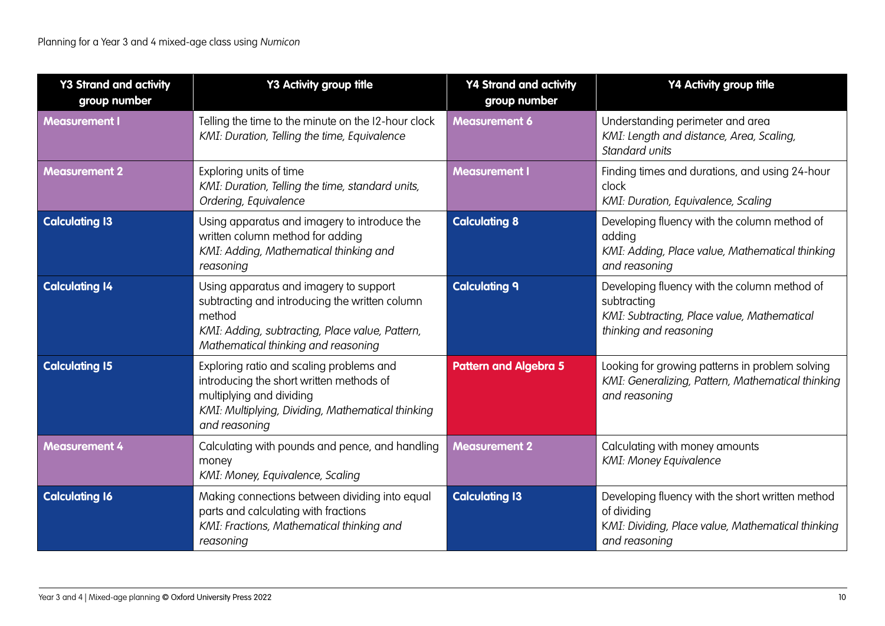| <b>Y3 Strand and activity</b><br>group number | <b>Y3 Activity group title</b>                                                                                                                                                               | <b>Y4 Strand and activity</b><br>group number | Y4 Activity group title                                                                                                               |
|-----------------------------------------------|----------------------------------------------------------------------------------------------------------------------------------------------------------------------------------------------|-----------------------------------------------|---------------------------------------------------------------------------------------------------------------------------------------|
| <b>Measurement I</b>                          | Telling the time to the minute on the I2-hour clock<br>KMI: Duration, Telling the time, Equivalence                                                                                          | <b>Measurement 6</b>                          | Understanding perimeter and area<br>KMI: Length and distance, Area, Scaling,<br>Standard units                                        |
| <b>Measurement 2</b>                          | Exploring units of time<br>KMI: Duration, Telling the time, standard units,<br>Ordering, Equivalence                                                                                         | <b>Measurement I</b>                          | Finding times and durations, and using 24-hour<br>clock<br>KMI: Duration, Equivalence, Scaling                                        |
| <b>Calculating 13</b>                         | Using apparatus and imagery to introduce the<br>written column method for adding<br>KMI: Adding, Mathematical thinking and<br>reasoning                                                      | <b>Calculating 8</b>                          | Developing fluency with the column method of<br>adding<br>KMI: Adding, Place value, Mathematical thinking<br>and reasoning            |
| <b>Calculating 14</b>                         | Using apparatus and imagery to support<br>subtracting and introducing the written column<br>method<br>KMI: Adding, subtracting, Place value, Pattern,<br>Mathematical thinking and reasoning | <b>Calculating 9</b>                          | Developing fluency with the column method of<br>subtracting<br>KMI: Subtracting, Place value, Mathematical<br>thinking and reasoning  |
| <b>Calculating 15</b>                         | Exploring ratio and scaling problems and<br>introducing the short written methods of<br>multiplying and dividing<br>KMI: Multiplying, Dividing, Mathematical thinking<br>and reasoning       | <b>Pattern and Algebra 5</b>                  | Looking for growing patterns in problem solving<br>KMI: Generalizing, Pattern, Mathematical thinking<br>and reasoning                 |
| <b>Measurement 4</b>                          | Calculating with pounds and pence, and handling<br>money<br>KMI: Money, Equivalence, Scaling                                                                                                 | <b>Measurement 2</b>                          | Calculating with money amounts<br><b>KMI: Money Equivalence</b>                                                                       |
| <b>Calculating 16</b>                         | Making connections between dividing into equal<br>parts and calculating with fractions<br>KMI: Fractions, Mathematical thinking and<br>reasoning                                             | <b>Calculating 13</b>                         | Developing fluency with the short written method<br>of dividing<br>KMI: Dividing, Place value, Mathematical thinking<br>and reasoning |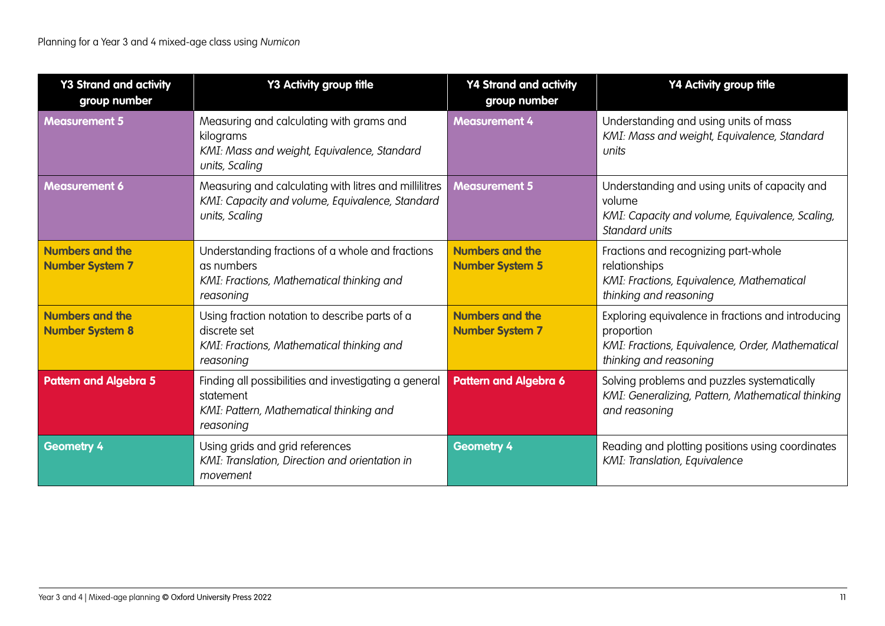| <b>Y3 Strand and activity</b><br>group number    | Y3 Activity group title                                                                                                    | <b>Y4 Strand and activity</b><br>group number    | Y4 Activity group title                                                                                                                        |
|--------------------------------------------------|----------------------------------------------------------------------------------------------------------------------------|--------------------------------------------------|------------------------------------------------------------------------------------------------------------------------------------------------|
| <b>Measurement 5</b>                             | Measuring and calculating with grams and<br>kilograms<br>KMI: Mass and weight, Equivalence, Standard<br>units, Scaling     | <b>Measurement 4</b>                             | Understanding and using units of mass<br>KMI: Mass and weight, Equivalence, Standard<br>units                                                  |
| <b>Measurement 6</b>                             | Measuring and calculating with litres and millilitres<br>KMI: Capacity and volume, Equivalence, Standard<br>units, Scaling | <b>Measurement 5</b>                             | Understanding and using units of capacity and<br>volume<br>KMI: Capacity and volume, Equivalence, Scaling,<br>Standard units                   |
| <b>Numbers and the</b><br><b>Number System 7</b> | Understanding fractions of a whole and fractions<br>as numbers<br>KMI: Fractions, Mathematical thinking and<br>reasoning   | <b>Numbers and the</b><br><b>Number System 5</b> | Fractions and recognizing part-whole<br>relationships<br>KMI: Fractions, Equivalence, Mathematical<br>thinking and reasoning                   |
| <b>Numbers and the</b><br><b>Number System 8</b> | Using fraction notation to describe parts of a<br>discrete set<br>KMI: Fractions, Mathematical thinking and<br>reasoning   | <b>Numbers and the</b><br><b>Number System 7</b> | Exploring equivalence in fractions and introducing<br>proportion<br>KMI: Fractions, Equivalence, Order, Mathematical<br>thinking and reasoning |
| <b>Pattern and Algebra 5</b>                     | Finding all possibilities and investigating a general<br>statement<br>KMI: Pattern, Mathematical thinking and<br>reasoning | <b>Pattern and Algebra 6</b>                     | Solving problems and puzzles systematically<br>KMI: Generalizing, Pattern, Mathematical thinking<br>and reasoning                              |
| <b>Geometry 4</b>                                | Using grids and grid references<br>KMI: Translation, Direction and orientation in<br>movement                              | <b>Geometry 4</b>                                | Reading and plotting positions using coordinates<br>KMI: Translation, Equivalence                                                              |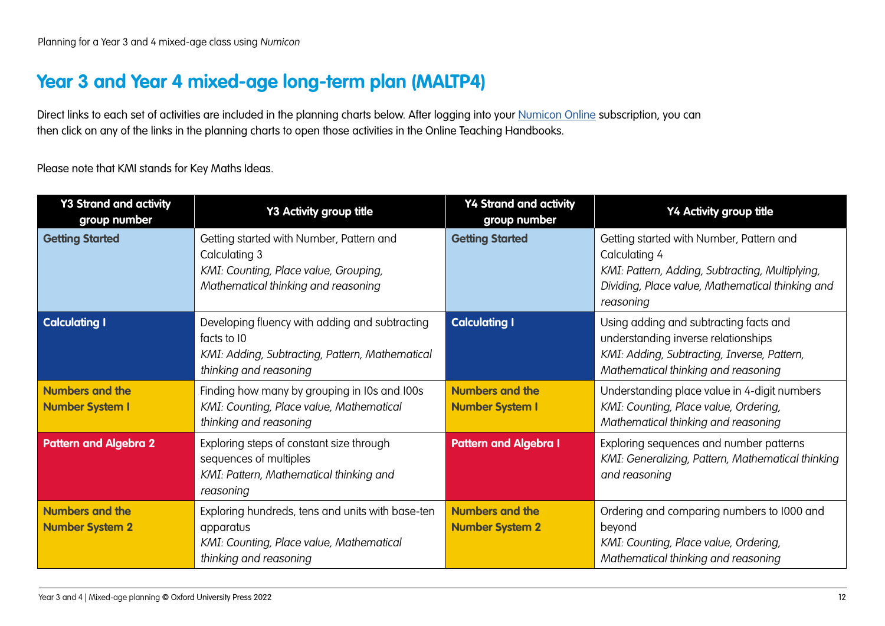### <span id="page-11-0"></span>**Year 3 and Year 4 mixed-age long-term plan (MALTP4)**

Direct links to each set of activities are included in the planning charts below. After logging into your [Numicon Online](https://www.oxfordowl.co.uk/login?active-tab=teachers) subscription, you can then click on any of the links in the planning charts to open those activities in the Online Teaching Handbooks.

Please note that KMI stands for Key Maths Ideas.

| <b>Y3 Strand and activity</b><br>group number    | Y3 Activity group title                                                                                                                    | <b>Y4 Strand and activity</b><br>group number    | Y4 Activity group title                                                                                                                                                       |
|--------------------------------------------------|--------------------------------------------------------------------------------------------------------------------------------------------|--------------------------------------------------|-------------------------------------------------------------------------------------------------------------------------------------------------------------------------------|
| <b>Getting Started</b>                           | Getting started with Number, Pattern and<br>Calculating 3<br>KMI: Counting, Place value, Grouping,<br>Mathematical thinking and reasoning  | <b>Getting Started</b>                           | Getting started with Number, Pattern and<br>Calculating 4<br>KMI: Pattern, Adding, Subtracting, Multiplying,<br>Dividing, Place value, Mathematical thinking and<br>reasoning |
| <b>Calculating I</b>                             | Developing fluency with adding and subtracting<br>facts to 10<br>KMI: Adding, Subtracting, Pattern, Mathematical<br>thinking and reasoning | <b>Calculating I</b>                             | Using adding and subtracting facts and<br>understanding inverse relationships<br>KMI: Adding, Subtracting, Inverse, Pattern,<br>Mathematical thinking and reasoning           |
| <b>Numbers and the</b><br><b>Number System I</b> | Finding how many by grouping in IOs and IOOs<br>KMI: Counting, Place value, Mathematical<br>thinking and reasoning                         | <b>Numbers and the</b><br><b>Number System I</b> | Understanding place value in 4-digit numbers<br>KMI: Counting, Place value, Ordering,<br>Mathematical thinking and reasoning                                                  |
| <b>Pattern and Algebra 2</b>                     | Exploring steps of constant size through<br>sequences of multiples<br>KMI: Pattern, Mathematical thinking and<br>reasoning                 | <b>Pattern and Algebra I</b>                     | Exploring sequences and number patterns<br>KMI: Generalizing, Pattern, Mathematical thinking<br>and reasoning                                                                 |
| <b>Numbers and the</b><br><b>Number System 2</b> | Exploring hundreds, tens and units with base-ten<br>apparatus<br>KMI: Counting, Place value, Mathematical<br>thinking and reasoning        | <b>Numbers and the</b><br><b>Number System 2</b> | Ordering and comparing numbers to 1000 and<br>beyond<br>KMI: Counting, Place value, Ordering,<br>Mathematical thinking and reasoning                                          |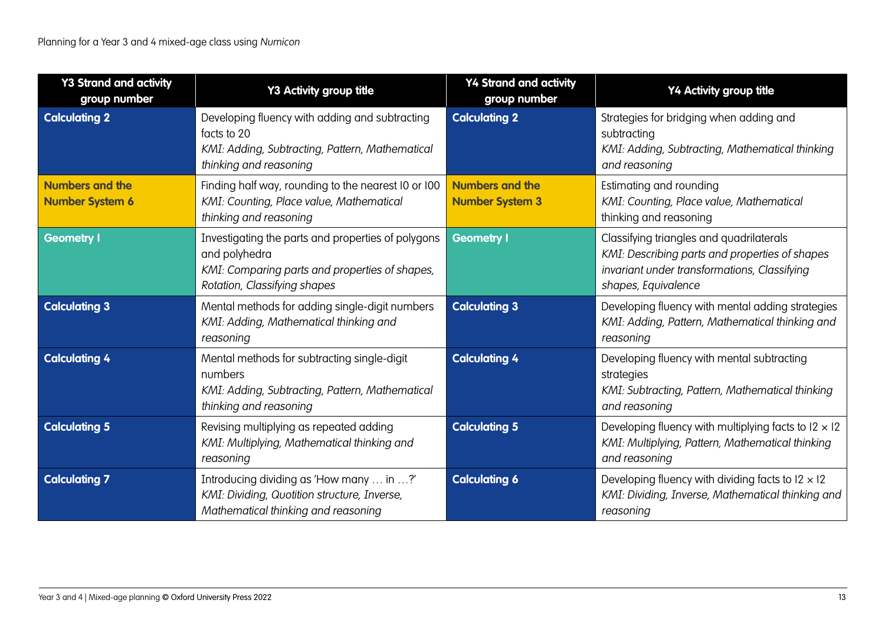| <b>Y3 Strand and activity</b><br>group number    | Y3 Activity group title                                                                                                                               | <b>Y4 Strand and activity</b><br>group number    | Y4 Activity group title                                                                                                                                           |
|--------------------------------------------------|-------------------------------------------------------------------------------------------------------------------------------------------------------|--------------------------------------------------|-------------------------------------------------------------------------------------------------------------------------------------------------------------------|
| <b>Calculating 2</b>                             | Developing fluency with adding and subtracting<br>facts to 20<br>KMI: Adding, Subtracting, Pattern, Mathematical<br>thinking and reasoning            | <b>Calculating 2</b>                             | Strategies for bridging when adding and<br>subtracting<br>KMI: Adding, Subtracting, Mathematical thinking<br>and reasoning                                        |
| <b>Numbers and the</b><br><b>Number System 6</b> | Finding half way, rounding to the nearest I0 or I00<br>KMI: Counting, Place value, Mathematical<br>thinking and reasoning                             | <b>Numbers and the</b><br><b>Number System 3</b> | Estimating and rounding<br>KMI: Counting, Place value, Mathematical<br>thinking and reasoning                                                                     |
| <b>Geometry I</b>                                | Investigating the parts and properties of polygons<br>and polyhedra<br>KMI: Comparing parts and properties of shapes,<br>Rotation, Classifying shapes | <b>Geometry I</b>                                | Classifying triangles and quadrilaterals<br>KMI: Describing parts and properties of shapes<br>invariant under transformations, Classifying<br>shapes, Equivalence |
| <b>Calculating 3</b>                             | Mental methods for adding single-digit numbers<br>KMI: Adding, Mathematical thinking and<br>reasoning                                                 | <b>Calculating 3</b>                             | Developing fluency with mental adding strategies<br>KMI: Adding, Pattern, Mathematical thinking and<br>reasoning                                                  |
| <b>Calculating 4</b>                             | Mental methods for subtracting single-digit<br>numbers<br>KMI: Adding, Subtracting, Pattern, Mathematical<br>thinking and reasoning                   | <b>Calculating 4</b>                             | Developing fluency with mental subtracting<br>strategies<br>KMI: Subtracting, Pattern, Mathematical thinking<br>and reasoning                                     |
| <b>Calculating 5</b>                             | Revising multiplying as repeated adding<br>KMI: Multiplying, Mathematical thinking and<br>reasoning                                                   | <b>Calculating 5</b>                             | Developing fluency with multiplying facts to $12 \times 12$<br>KMI: Multiplying, Pattern, Mathematical thinking<br>and reasoning                                  |
| <b>Calculating 7</b>                             | Introducing dividing as 'How many  in ?'<br>KMI: Dividing, Quotition structure, Inverse,<br>Mathematical thinking and reasoning                       | <b>Calculating 6</b>                             | Developing fluency with dividing facts to $12 \times 12$<br>KMI: Dividing, Inverse, Mathematical thinking and<br>reasoning                                        |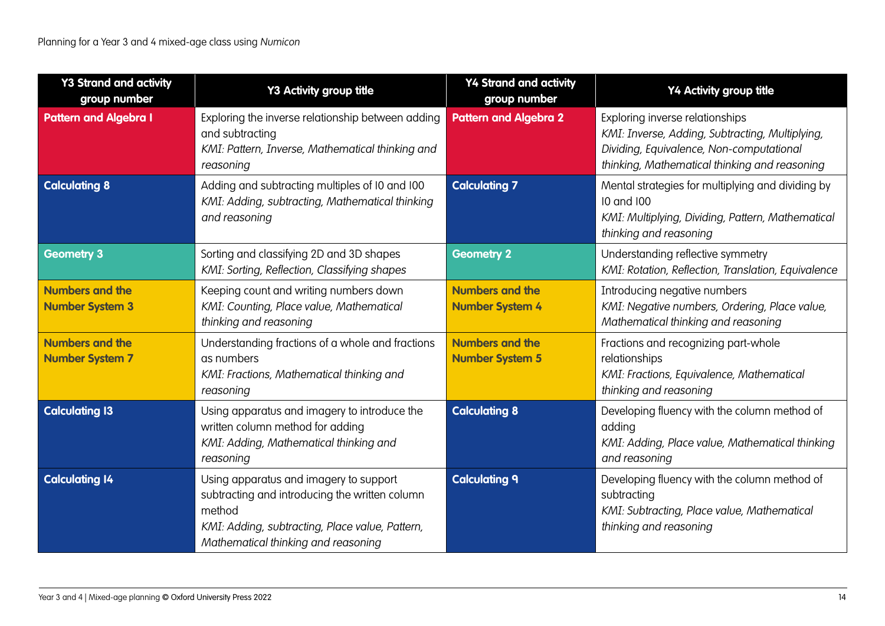| <b>Y3 Strand and activity</b><br>group number    | Y3 Activity group title                                                                                                                                                                      | <b>Y4 Strand and activity</b><br>group number    | Y4 Activity group title                                                                                                                                                         |
|--------------------------------------------------|----------------------------------------------------------------------------------------------------------------------------------------------------------------------------------------------|--------------------------------------------------|---------------------------------------------------------------------------------------------------------------------------------------------------------------------------------|
| <b>Pattern and Algebra I</b>                     | Exploring the inverse relationship between adding<br>and subtracting<br>KMI: Pattern, Inverse, Mathematical thinking and<br>reasoning                                                        | <b>Pattern and Algebra 2</b>                     | Exploring inverse relationships<br>KMI: Inverse, Adding, Subtracting, Multiplying,<br>Dividing, Equivalence, Non-computational<br>thinking, Mathematical thinking and reasoning |
| <b>Calculating 8</b>                             | Adding and subtracting multiples of 10 and 100<br>KMI: Adding, subtracting, Mathematical thinking<br>and reasoning                                                                           | <b>Calculating 7</b>                             | Mental strategies for multiplying and dividing by<br>10 and 100<br>KMI: Multiplying, Dividing, Pattern, Mathematical<br>thinking and reasoning                                  |
| <b>Geometry 3</b>                                | Sorting and classifying 2D and 3D shapes<br>KMI: Sorting, Reflection, Classifying shapes                                                                                                     | <b>Geometry 2</b>                                | Understanding reflective symmetry<br>KMI: Rotation, Reflection, Translation, Equivalence                                                                                        |
| <b>Numbers and the</b><br><b>Number System 3</b> | Keeping count and writing numbers down<br>KMI: Counting, Place value, Mathematical<br>thinking and reasoning                                                                                 | <b>Numbers and the</b><br><b>Number System 4</b> | Introducing negative numbers<br>KMI: Negative numbers, Ordering, Place value,<br>Mathematical thinking and reasoning                                                            |
| <b>Numbers and the</b><br><b>Number System 7</b> | Understanding fractions of a whole and fractions<br>as numbers<br>KMI: Fractions, Mathematical thinking and<br>reasoning                                                                     | <b>Numbers and the</b><br><b>Number System 5</b> | Fractions and recognizing part-whole<br>relationships<br>KMI: Fractions, Equivalence, Mathematical<br>thinking and reasoning                                                    |
| <b>Calculating 13</b>                            | Using apparatus and imagery to introduce the<br>written column method for adding<br>KMI: Adding, Mathematical thinking and<br>reasoning                                                      | <b>Calculating 8</b>                             | Developing fluency with the column method of<br>adding<br>KMI: Adding, Place value, Mathematical thinking<br>and reasoning                                                      |
| <b>Calculating 14</b>                            | Using apparatus and imagery to support<br>subtracting and introducing the written column<br>method<br>KMI: Adding, subtracting, Place value, Pattern,<br>Mathematical thinking and reasoning | <b>Calculating 9</b>                             | Developing fluency with the column method of<br>subtracting<br>KMI: Subtracting, Place value, Mathematical<br>thinking and reasoning                                            |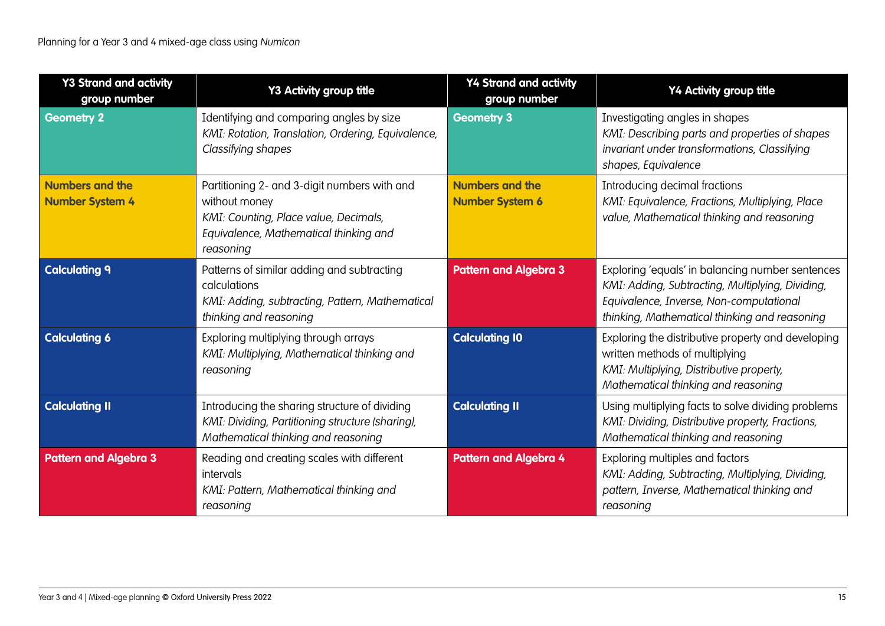| <b>Y3 Strand and activity</b><br>group number    | Y3 Activity group title                                                                                                                                       | <b>Y4 Strand and activity</b><br>group number    | Y4 Activity group title                                                                                                                                                                          |
|--------------------------------------------------|---------------------------------------------------------------------------------------------------------------------------------------------------------------|--------------------------------------------------|--------------------------------------------------------------------------------------------------------------------------------------------------------------------------------------------------|
| <b>Geometry 2</b>                                | Identifying and comparing angles by size<br>KMI: Rotation, Translation, Ordering, Equivalence,<br>Classifying shapes                                          | <b>Geometry 3</b>                                | Investigating angles in shapes<br>KMI: Describing parts and properties of shapes<br>invariant under transformations, Classifying<br>shapes, Equivalence                                          |
| <b>Numbers and the</b><br><b>Number System 4</b> | Partitioning 2- and 3-digit numbers with and<br>without money<br>KMI: Counting, Place value, Decimals,<br>Equivalence, Mathematical thinking and<br>reasoning | <b>Numbers and the</b><br><b>Number System 6</b> | Introducing decimal fractions<br>KMI: Equivalence, Fractions, Multiplying, Place<br>value, Mathematical thinking and reasoning                                                                   |
| <b>Calculating 9</b>                             | Patterns of similar adding and subtracting<br>calculations<br>KMI: Adding, subtracting, Pattern, Mathematical<br>thinking and reasoning                       | <b>Pattern and Algebra 3</b>                     | Exploring 'equals' in balancing number sentences<br>KMI: Adding, Subtracting, Multiplying, Dividing,<br>Equivalence, Inverse, Non-computational<br>thinking, Mathematical thinking and reasoning |
| <b>Calculating 6</b>                             | Exploring multiplying through arrays<br>KMI: Multiplying, Mathematical thinking and<br>reasoning                                                              | <b>Calculating 10</b>                            | Exploring the distributive property and developing<br>written methods of multiplying<br>KMI: Multiplying, Distributive property,<br>Mathematical thinking and reasoning                          |
| <b>Calculating II</b>                            | Introducing the sharing structure of dividing<br>KMI: Dividing, Partitioning structure (sharing),<br>Mathematical thinking and reasoning                      | <b>Calculating II</b>                            | Using multiplying facts to solve dividing problems<br>KMI: Dividing, Distributive property, Fractions,<br>Mathematical thinking and reasoning                                                    |
| <b>Pattern and Algebra 3</b>                     | Reading and creating scales with different<br>intervals<br>KMI: Pattern, Mathematical thinking and<br>reasoning                                               | <b>Pattern and Algebra 4</b>                     | Exploring multiples and factors<br>KMI: Adding, Subtracting, Multiplying, Dividing,<br>pattern, Inverse, Mathematical thinking and<br>reasoning                                                  |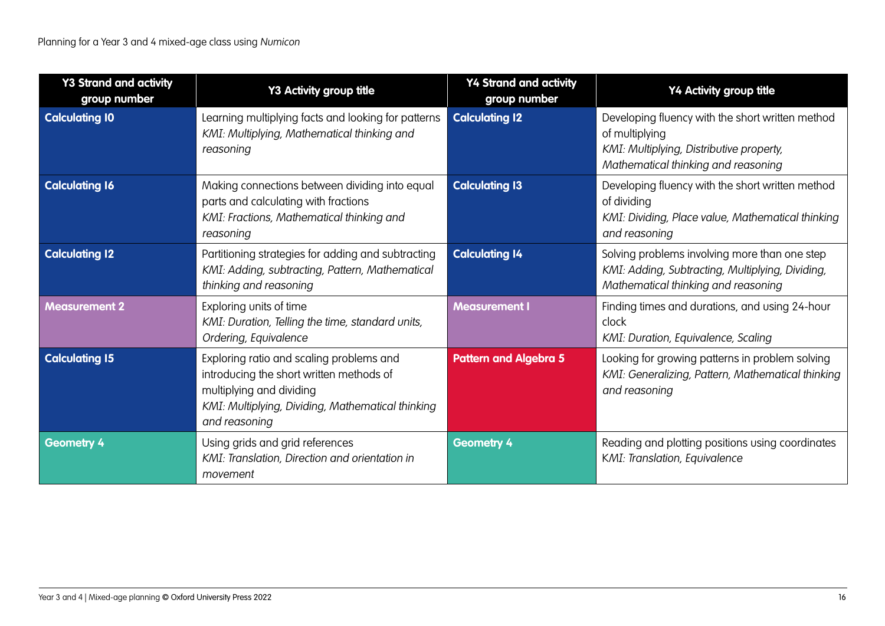| <b>Y3 Strand and activity</b><br>group number | Y3 Activity group title                                                                                                                                                                | <b>Y4 Strand and activity</b><br>group number | Y4 Activity group title                                                                                                                               |
|-----------------------------------------------|----------------------------------------------------------------------------------------------------------------------------------------------------------------------------------------|-----------------------------------------------|-------------------------------------------------------------------------------------------------------------------------------------------------------|
| <b>Calculating 10</b>                         | Learning multiplying facts and looking for patterns<br>KMI: Multiplying, Mathematical thinking and<br>reasoning                                                                        | <b>Calculating 12</b>                         | Developing fluency with the short written method<br>of multiplying<br>KMI: Multiplying, Distributive property,<br>Mathematical thinking and reasoning |
| <b>Calculating 16</b>                         | Making connections between dividing into equal<br>parts and calculating with fractions<br>KMI: Fractions, Mathematical thinking and<br>reasoning                                       | <b>Calculating 13</b>                         | Developing fluency with the short written method<br>of dividing<br>KMI: Dividing, Place value, Mathematical thinking<br>and reasoning                 |
| <b>Calculating 12</b>                         | Partitioning strategies for adding and subtracting<br>KMI: Adding, subtracting, Pattern, Mathematical<br>thinking and reasoning                                                        | <b>Calculating 14</b>                         | Solving problems involving more than one step<br>KMI: Adding, Subtracting, Multiplying, Dividing,<br>Mathematical thinking and reasoning              |
| <b>Measurement 2</b>                          | Exploring units of time<br>KMI: Duration, Telling the time, standard units,<br>Ordering, Equivalence                                                                                   | <b>Measurement I</b>                          | Finding times and durations, and using 24-hour<br>clock<br>KMI: Duration, Equivalence, Scaling                                                        |
| <b>Calculating 15</b>                         | Exploring ratio and scaling problems and<br>introducing the short written methods of<br>multiplying and dividing<br>KMI: Multiplying, Dividing, Mathematical thinking<br>and reasoning | <b>Pattern and Algebra 5</b>                  | Looking for growing patterns in problem solving<br>KMI: Generalizing, Pattern, Mathematical thinking<br>and reasoning                                 |
| <b>Geometry 4</b>                             | Using grids and grid references<br>KMI: Translation, Direction and orientation in<br>movement                                                                                          | <b>Geometry 4</b>                             | Reading and plotting positions using coordinates<br>KMI: Translation, Equivalence                                                                     |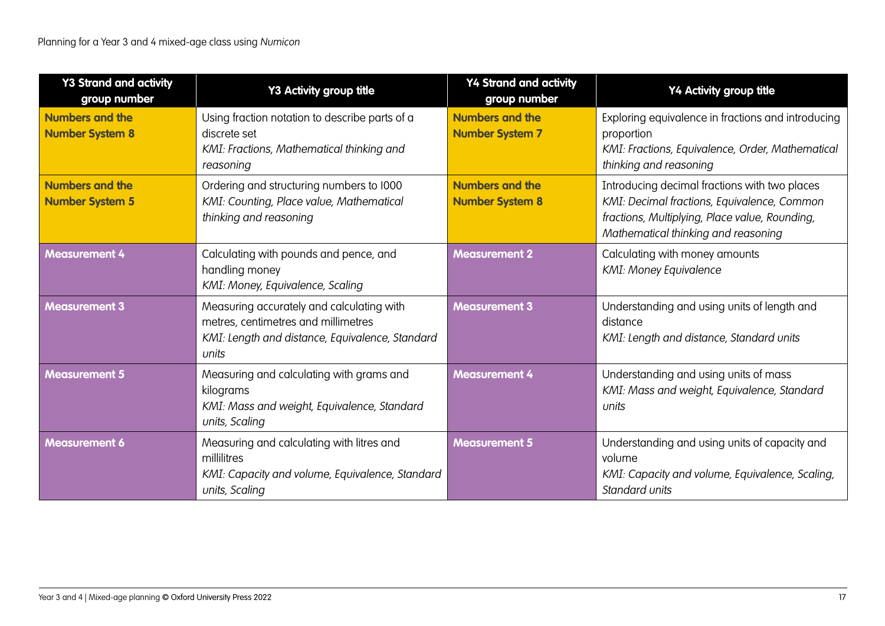| <b>Y3 Strand and activity</b><br>group number    | Y3 Activity group title                                                                                                                      | <b>Y4 Strand and activity</b><br>group number    | Y4 Activity group title                                                                                                                                                               |
|--------------------------------------------------|----------------------------------------------------------------------------------------------------------------------------------------------|--------------------------------------------------|---------------------------------------------------------------------------------------------------------------------------------------------------------------------------------------|
| <b>Numbers and the</b><br><b>Number System 8</b> | Using fraction notation to describe parts of a<br>discrete set<br>KMI: Fractions, Mathematical thinking and<br>reasoning                     | <b>Numbers and the</b><br><b>Number System 7</b> | Exploring equivalence in fractions and introducing<br>proportion<br>KMI: Fractions, Equivalence, Order, Mathematical<br>thinking and reasoning                                        |
| <b>Numbers and the</b><br><b>Number System 5</b> | Ordering and structuring numbers to 1000<br>KMI: Counting, Place value, Mathematical<br>thinking and reasoning                               | <b>Numbers and the</b><br><b>Number System 8</b> | Introducing decimal fractions with two places<br>KMI: Decimal fractions, Equivalence, Common<br>fractions, Multiplying, Place value, Rounding,<br>Mathematical thinking and reasoning |
| <b>Measurement 4</b>                             | Calculating with pounds and pence, and<br>handling money<br>KMI: Money, Equivalence, Scaling                                                 | <b>Measurement 2</b>                             | Calculating with money amounts<br><b>KMI: Money Equivalence</b>                                                                                                                       |
| <b>Measurement 3</b>                             | Measuring accurately and calculating with<br>metres, centimetres and millimetres<br>KMI: Length and distance, Equivalence, Standard<br>units | <b>Measurement 3</b>                             | Understanding and using units of length and<br>distance<br>KMI: Length and distance, Standard units                                                                                   |
| <b>Measurement 5</b>                             | Measuring and calculating with grams and<br>kilograms<br>KMI: Mass and weight, Equivalence, Standard<br>units, Scaling                       | <b>Measurement 4</b>                             | Understanding and using units of mass<br>KMI: Mass and weight, Equivalence, Standard<br>units                                                                                         |
| <b>Measurement 6</b>                             | Measuring and calculating with litres and<br>millilitres<br>KMI: Capacity and volume, Equivalence, Standard<br>units, Scaling                | <b>Measurement 5</b>                             | Understanding and using units of capacity and<br>volume<br>KMI: Capacity and volume, Equivalence, Scaling,<br>Standard units                                                          |